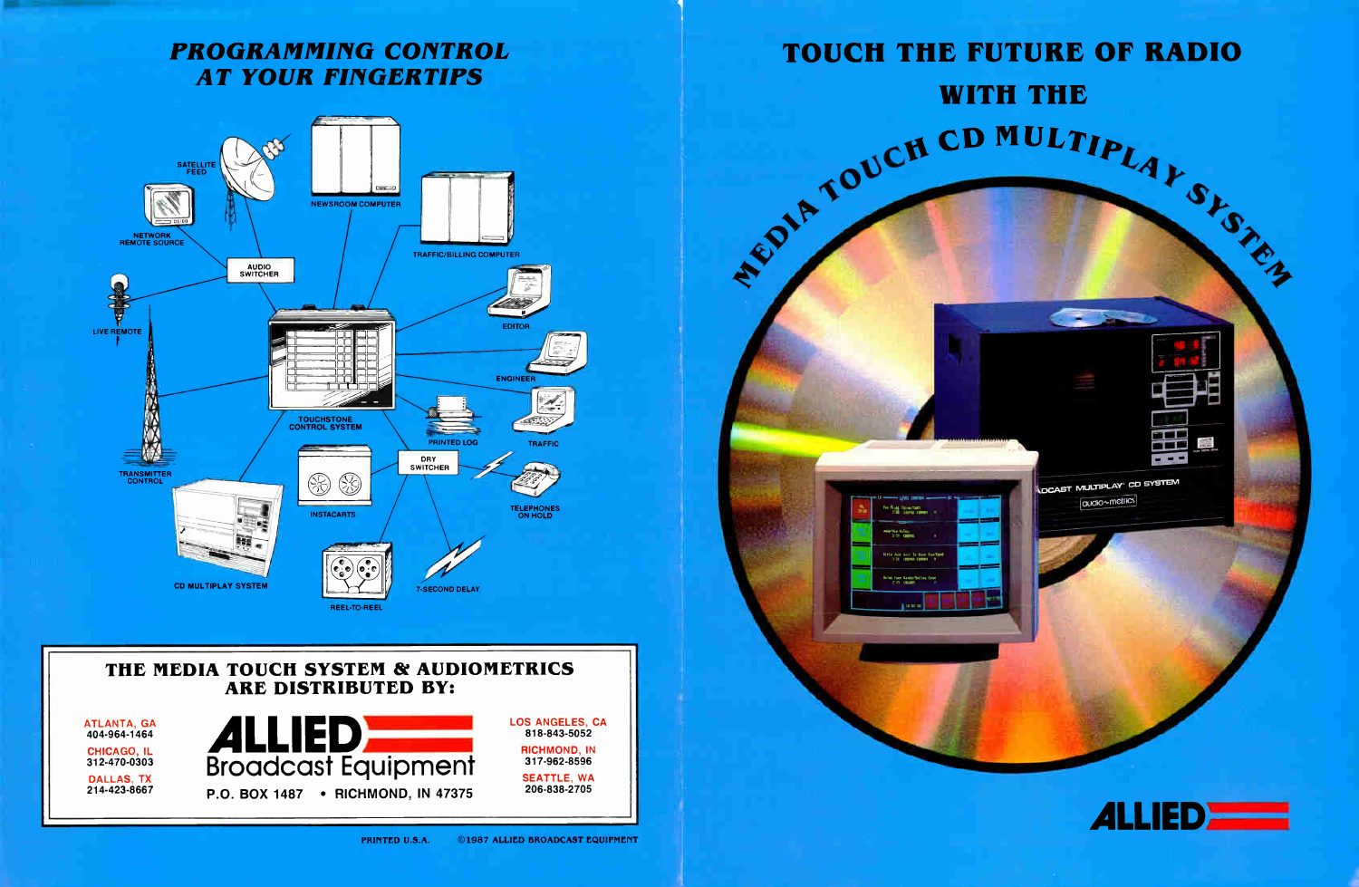### PROGRAMMING CONTROL AT YOUR FINGERTIPS



# TOUCH THE FUTURE OF RADIO WITH THE MOUCH CD MULTIPLAY SINGLY



**NDCAST MULTIPLAY' CD SYSTEM**  $[$ audio $\sim$ metrics $]$ 

**The State** 

#### THE MEDIA TOUCH SYSTEM & AUDIOMETRICS ARE DISTRIBUTED BY:

ATLANTA, GA 404-964-1464 CHICAGO, IL 312-470-0303 DALLAS. TX 214-423-8667



LOS ANGELES, CA 818-843-5052 RICHMOND. IN 317-962-8596 SEATTLE. WA 206-838-2705

**Girls Jast Heat To Bave Fun/Op**<br>3151 CHOPPE CORREL N

**Bring Your Hands/Holloy Cr**<br>- 2:49 CHANNA

samp/Uan Nale<br>3:59 CONVOS

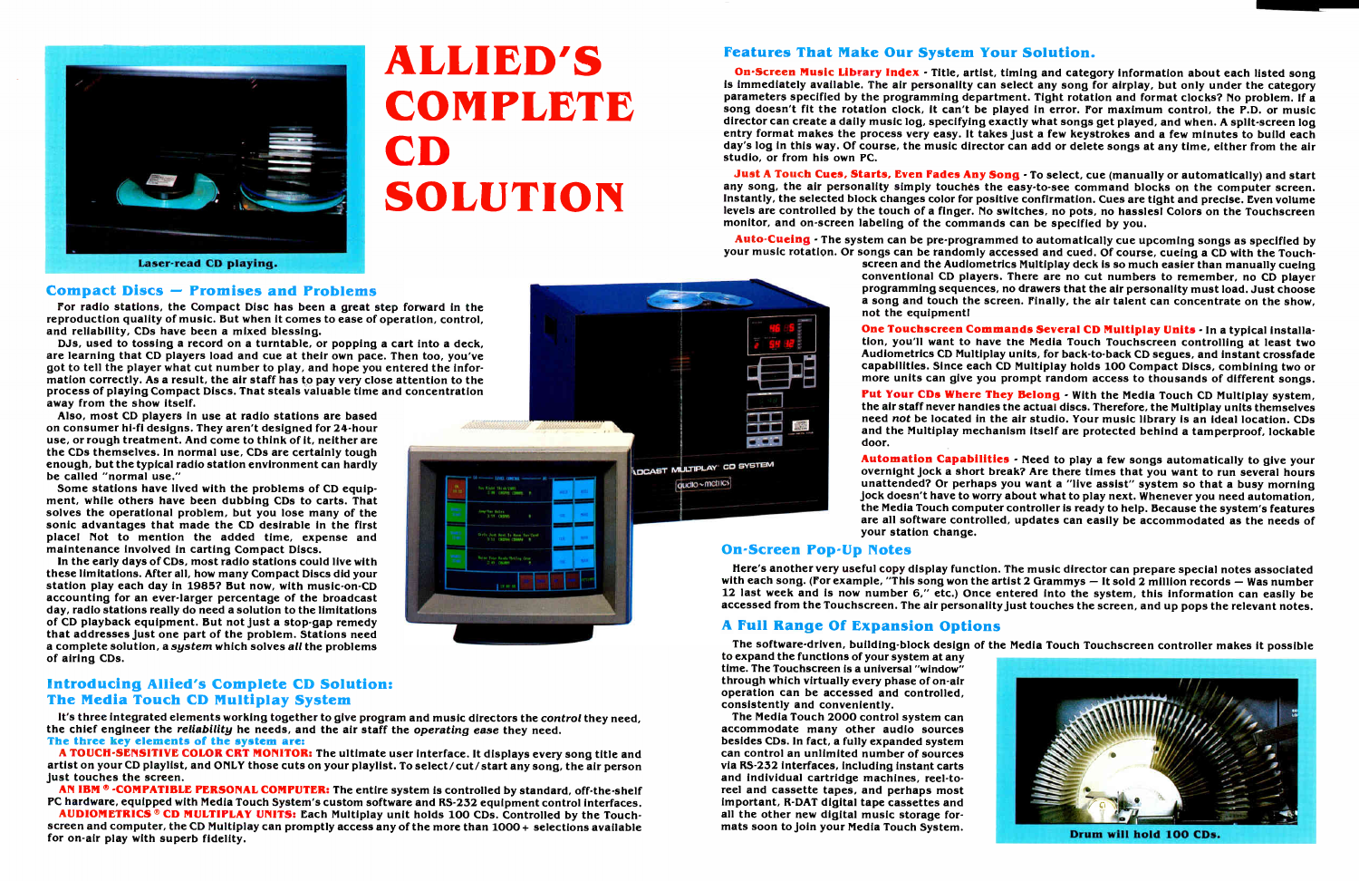## ALLIED'S **COMPLETE** CD SOLUTION



#### Compact Discs — Promises and Problems

For radio stations, the Compact Disc has been a great step forward in the reproduction quality of music. But when it comes to ease of operation, control, and reliability, CDs have been a mixed blessing.

DJs, used to tossing a record on a turntable, or popping a cart into a deck, are learning that CD players load and cue at their own pace. Then too, you've got to tell the player what cut number to play, and hope you entered the information correctly. As a result, the air staff has to pay very close attention to the process of playing Compact Discs. That steals valuable time and concentration away from the show itself.

Also, most CD players in use at radio stations are based on consumer hi-fl designs. They aren't designed for 24-hour use, or rough treatment. And come to think of it, neither are the CDs themselves. In normal use, CDs are certainly tough enough, but the typical radio station environment can hardly be called "normal use."

Some stations have lived with the problems of CD equipment, while others have been dubbing CDs to carts. That solves the operational problem, but you lose many of the sonic advantages that made the CD desirable in the first place! Not to mention the added time, expense and maintenance involved in carting Compact Discs.

AN IBM ® -COMPATIBLE PERSONAL COMPUTER: The entire system is controlled by standard, off-the-shelf PC hardware, equipped with Media Touch System's custom software and RS-232 equipment control interfaces.

In the early days of CDs, most radio stations could live with these limitations. After all, how many Compact Discs did your station play each day in 1985? But now, with music-on-CD accounting for an ever-larger percentage of the broadcast day, radio stations really do need a solution to the limitations of CD playback equipment. But not Just a stop-gap remedy that addresses Just one part of the problem. Stations need a complete solution, a system which solves all the problems of airing CDs.

On-Screen Music Library Index - Title, artist, timing and category information about each listed song is immediately available. The air personality can select any song for airplay, but only under the category parameters specified by the programming department. Tight rotation and format clocks? No problem. If a song doesn't fit the rotation clock, It can't be played in error. For maximum control, the P.D. or music director can create a daily music log, specifying exactly what songs get played, and when. A split-screen log entry format makes the process very easy. It takes just a few keystrokes and a few minutes to build each day's log in this way. Of course, the music director can add or delete songs at any time, either from the air studio, or from his own PC.

#### Introducing Allied's Complete CD Solution: The Media Touch CD Multiplay System

It's three integrated elements working together to give program and music directors the control they need, the chief engineer the reliability he needs, and the air staff the operating ease they need. The three key elements of the system are:

Just A Touch Cues, Starts, Even Fades Any Song - To select, cue (manually or automatically) and start any song, the air personality simply touches the easy-to-see command blocks on the computer screen. Instantly, the selected block changes color for positive confirmation. Cues are tight and precise. Even volume levels are controlled by the touch of a finger. No switches, no pots, no hassles! Colors on the Touchscreen monitor, and on-screen labeling of the commands can be specified by you.

A TOUCH-SENSITIVE COLOR CRT MONITOR: The ultimate user interface. It displays every song title and artist on your CD playlist, and ONLY those cuts on your playlist. To select/cut/start any song, the air person just touches the screen.

Put Your CDs Where They Belong - With the Media Touch CD Multiplay system, the air staff never handles the actual discs. Therefore, the Multiplay units themselves need not be located in the air studio. Your music library is an ideal location. CDs and the Multiplay mechanism itself are protected behind a tamperproof, lockable door.

AUDIOMETRICS ® CD MULTIPLAY UNITS: Each Multiplay unit holds 100 CDs. Controlled by the Touchscreen and computer, the CD Multiplay can promptly access any of the more than 1000 + selections available for on-air play with superb fidelity.



#### Features That Make Our System Your Solution.

Here's another very useful copy display function. The music director can prepare special notes associated with each song. (For example, "This song won the artist 2 Grammys — It sold 2 million records — Was number 12 last week and is now number 6," etc.) Once entered into the system, this information can easily be accessed from the Touchscreen. The air personality just touches the screen, and up pops the relevant notes.

Auto -Cueing - The system can be pre-programmed to automatically cue upcoming songs as specified by your music rotation. Or songs can be randomly accessed and cued. Of course, cueing a CD with the Touchscreen and thé Audiometrics Multiplay deck is so much easier than manually cueing conventional CD players. There are no cut numbers to remember, no CD player programming sequences, no drawers that the air personality must load. Just choose a song and touch the screen. Finally, the air talent can concentrate on the show,

not the equipment!

One Touchscreen Commands Several CD Multiplay Units - In a typical installation, you'll want to have tne Media Touch Touchscreen controlling at least two Audiometrics CD Multiplay units, for back-to-back CD segues, and instant crossfade capabilities. Since each CD Multiplay holds 100 Compact Discs, combining two or more units can give you prompt random access to thousands of different songs.

Automation Capabilities - Need to play a few songs automatically to give your overnight Jock a short break? Are there times that you want to run several hours unattended? Or perhaps you want a "live assist" system so that a busy morning Jock doesn't have to worry about what to play next. Whenever you need automation, the Media Touch computer controller is ready to help. Because the system's features are all software controlled, updates can easily be accommodated as the needs of



your station change.

#### On-Screen Pop-Up Notes

quoto~metrics

#### A Full Range Of Expansion Options

The software-driven, building-block design of the Media Touch Touchscreen controller makes it possible to expand the functions of your system at any time. The Touchscreen is a universal "window" through which virtually every phase of on-air operation can be accessed and controlled, consistently and conveniently.

The Media Touch 2000 control system can accommodate many other audio sources besides CDs. In fact, a fully expanded system can control an unlimited number of sources via RS-232 interfaces, including instant carts and individual cartridge machines, reel-toreel and cassette tapes, and perhaps most important, R-DAT digital tape cassettes and all the other new digital music storage formats soon to Join your Media Touch System.

Drum will hold 100 CDs.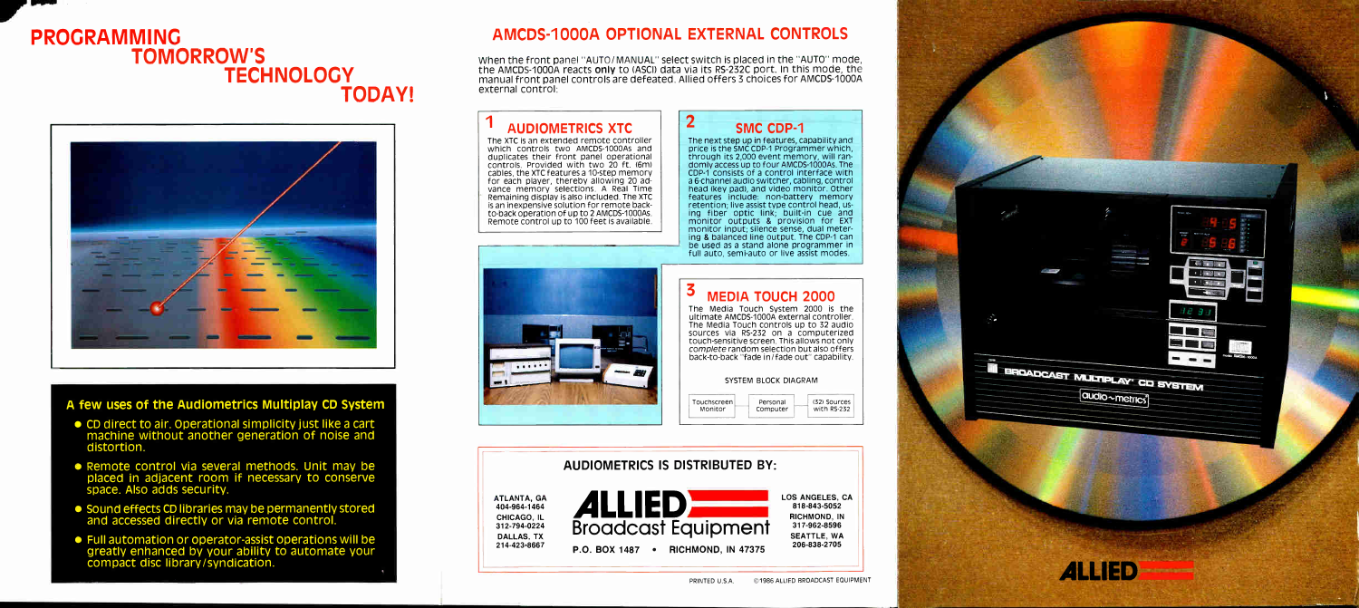## PROGRAMMING TOMORROW'S **TECHNOLOGY** TODAY!



#### A few uses of the Audiometrics Multiplay CD System

- CD direct to air. Operational simplicity just like a cart machine without another generation of noise and distortion.
- Remote control via several methods. Unit may be placed in adjacent room if necessary to conserve space. Also adds security.
- Sound effects CD libraries may be permanently stored and accessed directly or via remote control.
- Full automation or operator-assist operations will be greatly enhanced by your ability to automate your compact disc library/syndication.

### AMCDS-1000A OPTIONAL EXTERNAL CONTROLS

When the front panel "AUTO/MANUAL" select switch is placed in the "AUTO" mode, the AMCDS-1000A reacts only to (ASCI) data via its RS-232C port. In this mode, the manual front panel controls are defeated. Allied offers 3 choices for AMCDS-1000A external control:

> The next step up in features, capability and price is the SMC CDP-1 Programmer which, through its 2,000 event memory, will randomly access up to four AMCDS-1000As. The CDP-1 consists of a control interface with a 6-channel audio switcher, cabling, control head (key pad), and video monitor. Other features include: non-battery memory retention; live assist type control head, using fiber optic link; built-in cue and monitor outputs & provision for  $EXT$ monitor input; silence sense, dual metering & balanced line output. The CDP-1 can be used as a stand alone programmer in full auto, semi-auto or live assist modes.

### 2 SMC CDP-1 AUDIOMETRICS XTC The XTC is an extended remote controller which controls two AMCDS-1000As and duplicates their front panel operational controls. Provided with two 20 ft. (6m) cables, the XTC features a 10-step memory for each player, thereby allowing 20 ad-vance memory selections. A Real Time Remaining display is also included. The XTC is an inexpensive solution for remote backto-back operation of up to 2 AMCDS-1000As. Remote control up to 100 feet is available. MEDIA TOUCH 2000  $\begin{array}{ccccccccccccc} \bullet & \bullet & \bullet & \bullet & \bullet & \bullet & \bullet \end{array}$ SYSTEM BLOCK DIAGRAM Touchscreen Personal Monitor Computer

The Media Touch System 2000 is the ultimate AMCDS-1000A external controller. The Media Touch controls up to 32 audio sources via RS-232 on a computerized touch-sensitive screen. This allows not only complete random selection but also offers back-to-back "fade in/fade out" capability.



ATLANTA, GA 404-964-1464 CHICAGO, IL 312-794-0224 DALLAS, TX 214-423-8667

#### AUDIOMETRICS IS DISTRIBUTED BY:



LOS ANGELES, CA 818-843-5052 RICHMOND, IN 317-962-8596 SEATTLE, WA 206-838-2705